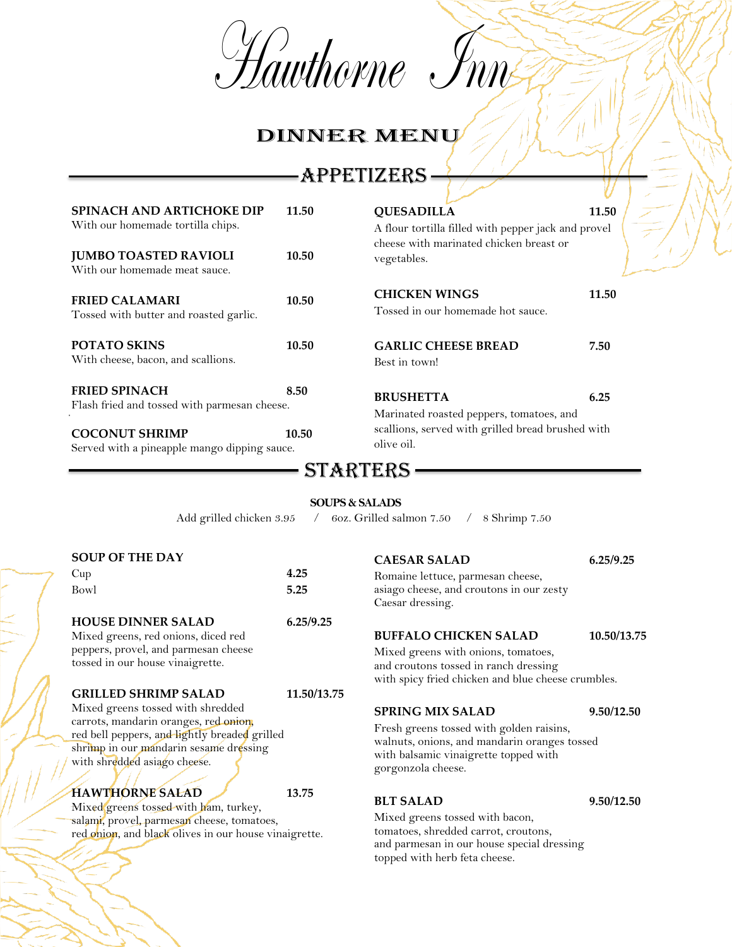Hawthorne Inn

# DINNER MENU

# APPETIZERS

| <b>SPINACH AND ARTICHOKE DIP</b>                                           | 11.50                     | <b>QUESADILLA</b>                                                                             | 11.50       |  |
|----------------------------------------------------------------------------|---------------------------|-----------------------------------------------------------------------------------------------|-------------|--|
| With our homemade tortilla chips.                                          |                           | A flour tortilla filled with pepper jack and provel                                           |             |  |
|                                                                            |                           | cheese with marinated chicken breast or                                                       |             |  |
| <b>JUMBO TOASTED RAVIOLI</b>                                               | 10.50                     | vegetables.                                                                                   |             |  |
| With our homemade meat sauce.                                              |                           |                                                                                               |             |  |
|                                                                            |                           | <b>CHICKEN WINGS</b>                                                                          | 11.50       |  |
| <b>FRIED CALAMARI</b>                                                      | 10.50                     | Tossed in our homemade hot sauce.                                                             |             |  |
| Tossed with butter and roasted garlic.                                     |                           |                                                                                               |             |  |
| POTATO SKINS                                                               | 10.50                     | <b>GARLIC CHEESE BREAD</b>                                                                    | 7.50        |  |
| With cheese, bacon, and scallions.                                         |                           | Best in town!                                                                                 |             |  |
|                                                                            |                           |                                                                                               |             |  |
| <b>FRIED SPINACH</b>                                                       | 8.50                      | <b>BRUSHETTA</b>                                                                              | 6.25        |  |
| Flash fried and tossed with parmesan cheese.                               |                           |                                                                                               |             |  |
|                                                                            |                           | Marinated roasted peppers, tomatoes, and<br>scallions, served with grilled bread brushed with |             |  |
| <b>COCONUT SHRIMP</b>                                                      | 10.50                     | olive oil.                                                                                    |             |  |
| Served with a pineapple mango dipping sauce.                               |                           |                                                                                               |             |  |
|                                                                            |                           | STARTERS.                                                                                     |             |  |
|                                                                            |                           |                                                                                               |             |  |
|                                                                            | <b>SOUPS &amp; SALADS</b> |                                                                                               |             |  |
| Add grilled chicken 3.95                                                   | $\sqrt{2}$                | 60z. Grilled salmon 7.50<br>8 Shrimp 7.50<br>$\sqrt{2}$                                       |             |  |
|                                                                            |                           |                                                                                               |             |  |
| <b>SOUP OF THE DAY</b>                                                     |                           | <b>CAESAR SALAD</b>                                                                           | 6.25/9.25   |  |
| Cup                                                                        | 4.25                      | Romaine lettuce, parmesan cheese,                                                             |             |  |
| Bowl                                                                       | 5.25                      | asiago cheese, and croutons in our zesty                                                      |             |  |
|                                                                            |                           | Caesar dressing.                                                                              |             |  |
| <b>HOUSE DINNER SALAD</b>                                                  | 6.25/9.25                 |                                                                                               |             |  |
| Mixed greens, red onions, diced red                                        |                           | <b>BUFFALO CHICKEN SALAD</b>                                                                  | 10.50/13.75 |  |
| peppers, provel, and parmesan cheese                                       |                           | Mixed greens with onions, tomatoes,                                                           |             |  |
| tossed in our house vinaigrette.                                           |                           | and croutons tossed in ranch dressing                                                         |             |  |
|                                                                            |                           | with spicy fried chicken and blue cheese crumbles.                                            |             |  |
| <b>GRILLED SHRIMP SALAD</b>                                                | 11.50/13.75               |                                                                                               |             |  |
| Mixed greens tossed with shredded<br>carrots, mandarin oranges, red onion, |                           | <b>SPRING MIX SALAD</b>                                                                       | 9.50/12.50  |  |
| red bell peppers, and lightly breaded grilled                              |                           | Fresh greens tossed with golden raisins,                                                      |             |  |
| shrimp in our mandarin sesame dressing                                     |                           | walnuts, onions, and mandarin oranges tossed<br>with balsamic vinaigrette topped with         |             |  |
| with shredded asiago cheese.                                               |                           | gorgonzola cheese.                                                                            |             |  |
|                                                                            |                           |                                                                                               |             |  |
| <b>HAWTHORNE SALAD</b><br>Mixed means togged with ham turkey               | 13.75                     | <b>BLT SALAD</b>                                                                              | 9.50/12.50  |  |
|                                                                            |                           |                                                                                               |             |  |

Mixed greens tossed with ham, turkey, salami, provel, parmesan cheese, tomatoes, red onion, and black olives in our house vinaigrette.

Mixed greens tossed with bacon, tomatoes, shredded carrot, croutons, and parmesan in our house special dressing topped with herb feta cheese.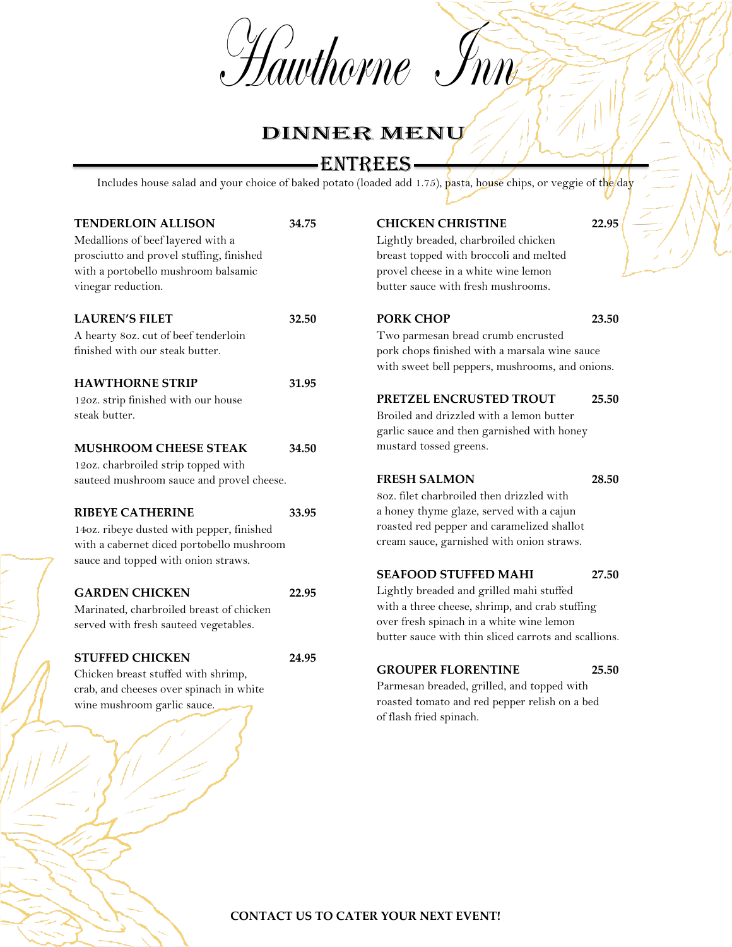Hawthorne Inn



## ENTREES

Includes house salad and your choice of baked potato (loaded add 1.75), pasta, house chips, or veggie of the day

| <b>TENDERLOIN ALLISON</b><br>Medallions of beef layered with a<br>prosciutto and provel stuffing, finished<br>with a portobello mushroom balsamic<br>vinegar reduction. | 34.75 |
|-------------------------------------------------------------------------------------------------------------------------------------------------------------------------|-------|
| <b>LAUREN'S FILET</b>                                                                                                                                                   | 32.50 |
| A hearty 80z. cut of beef tenderloin                                                                                                                                    |       |
| finished with our steak butter.                                                                                                                                         |       |
| <b>HAWTHORNE STRIP</b>                                                                                                                                                  | 31.95 |
| 12oz. strip finished with our house                                                                                                                                     |       |
| steak butter.                                                                                                                                                           |       |
| <b>MUSHROOM CHEESE STEAK</b>                                                                                                                                            | 34.50 |
| 12oz. charbroiled strip topped with                                                                                                                                     |       |
| sauteed mushroom sauce and provel cheese.                                                                                                                               |       |
| <b>RIBEYE CATHERINE</b>                                                                                                                                                 | 33.95 |
| 14oz. ribeye dusted with pepper, finished                                                                                                                               |       |
| with a cabernet diced portobello mushroom                                                                                                                               |       |
| sauce and topped with onion straws.                                                                                                                                     |       |
| <b>GARDEN CHICKEN</b>                                                                                                                                                   | 22.95 |
| Marinated, charbroiled breast of chicken                                                                                                                                |       |
| served with fresh sauteed vegetables.                                                                                                                                   |       |
| <b>STUFFED CHICKEN</b>                                                                                                                                                  | 24.95 |
| Chicken breast stuffed with shrimp,                                                                                                                                     |       |
| crab, and cheeses over spinach in white                                                                                                                                 |       |
| wine mushroom garlic sauce.                                                                                                                                             |       |
|                                                                                                                                                                         |       |
|                                                                                                                                                                         |       |

#### **CHICKEN CHRISTINE 22.95**

Lightly breaded, charbroiled chicken breast topped with broccoli and melted provel cheese in a white wine lemon butter sauce with fresh mushrooms.

#### **PORK CHOP** 23.50

Two parmesan bread crumb encrusted pork chops finished with a marsala wine sauce with sweet bell peppers, mushrooms, and onions.

#### **PRETZEL ENCRUSTED TROUT 25.50**

Broiled and drizzled with a lemon butter garlic sauce and then garnished with honey mustard tossed greens.

#### **FRESH SALMON 28.50**

8oz. filet charbroiled then drizzled with a honey thyme glaze, served with a cajun roasted red pepper and caramelized shallot cream sauce, garnished with onion straws.

#### **SEAFOOD STUFFED MAHI 27.50**

Lightly breaded and grilled mahi stuffed with a three cheese, shrimp, and crab stuffing over fresh spinach in a white wine lemon butter sauce with thin sliced carrots and scallions.

**GROUPER FLORENTINE 25.50**

Parmesan breaded, grilled, and topped with roasted tomato and red pepper relish on a bed of flash fried spinach.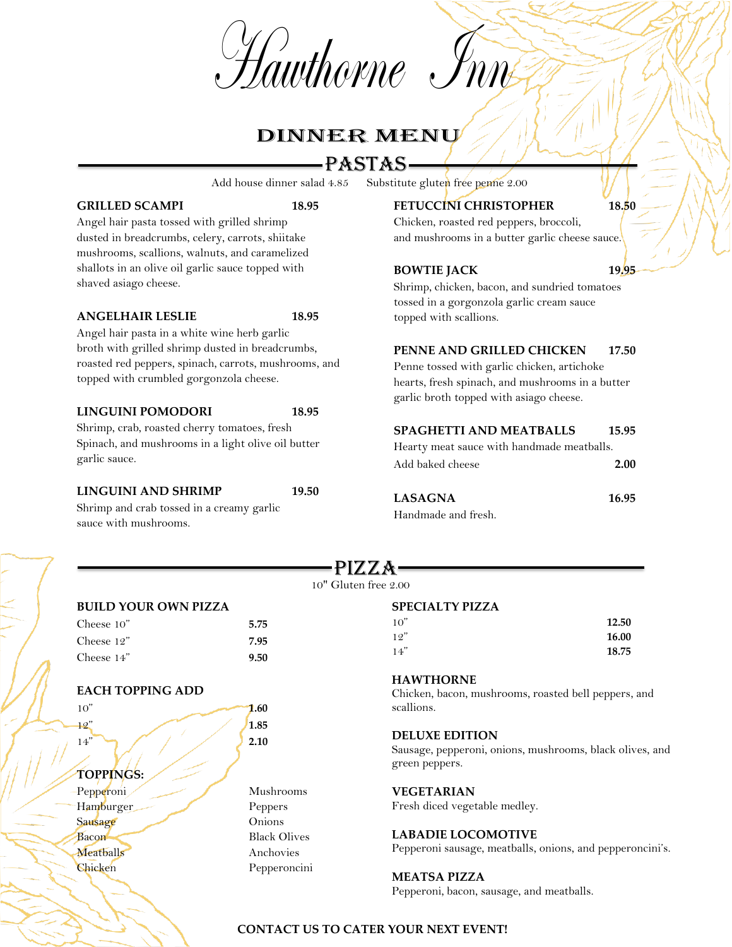Hawthorne Inn



# PASTAS

Add house dinner salad 4.85 Substitute gluten free penne 2.00

#### GRILLED SCAMPI 18.95

Angel hair pasta tossed with grilled shrimp dusted in breadcrumbs, celery, carrots, shiitake mushrooms, scallions, walnuts, and caramelized shallots in an olive oil garlic sauce topped with shaved asiago cheese.

#### **ANGELHAIR LESLIE 18.95**

Angel hair pasta in a white wine herb garlic broth with grilled shrimp dusted in breadcrumbs, roasted red peppers, spinach, carrots, mushrooms, and topped with crumbled gorgonzola cheese.

#### **LINGUINI POMODORI 18.95**

Shrimp, crab, roasted cherry tomatoes, fresh Spinach, and mushrooms in a light olive oil butter garlic sauce.

#### **LINGUINI AND SHRIMP 19.50**

Mushrooms

Shrimp and crab tossed in a creamy garlic sauce with mushrooms.

### **FETUCCINI CHRISTOPHER** 18.50

Chicken, roasted red peppers, broccoli, and mushrooms in a butter garlic cheese sauce.

#### **BOWTIE JACK 19.95**

Shrimp, chicken, bacon, and sundried tomatoes tossed in a gorgonzola garlic cream sauce topped with scallions.

#### **PENNE AND GRILLED CHICKEN** 17.50

Penne tossed with garlic chicken, artichoke hearts, fresh spinach, and mushrooms in a butter garlic broth topped with asiago cheese.

#### **SPAGHETTI AND MEATBALLS 15.95**

Hearty meat sauce with handmade meatballs. Add baked cheese **2.00**

| <b>LASAGNA</b>      | 16.95 |
|---------------------|-------|
| Handmade and fresh. |       |

10" **12.50** 12" **16.00** 14" **18.75**

#### PIZZA 10" Gluten free 2.00

#### **BUILD YOUR OWN PIZZA**

| Cheese 10" | 5.75 |
|------------|------|
| Cheese 12" | 7.95 |
| Cheese 14" | 9.50 |

#### **EACH TOPPING ADD**

| 10"          | 1.60 |
|--------------|------|
| 12"          | 1.85 |
| 14"          | 2.10 |
|              |      |
| TOPPINGS:    |      |
| Pepperoni    | Mu.  |
| $\mathbf{H}$ | D.   |

Hamburger Peppers Sausage Onions Bacon Black Olives Meatballs Anchovies Chicken Pepperoncini

#### Chicken, bacon, mushrooms, roasted bell peppers, and scallions.

#### **DELUXE EDITION**

**HAWTHORNE**

**SPECIALTY PIZZA**

Sausage, pepperoni, onions, mushrooms, black olives, and green peppers.

#### **VEGETARIAN**

Fresh diced vegetable medley.

#### **LABADIE LOCOMOTIVE**

Pepperoni sausage, meatballs, onions, and pepperoncini's.

#### **MEATSA PIZZA**

Pepperoni, bacon, sausage, and meatballs.

## **CONTACT US TO CATER YOUR NEXT EVENT!**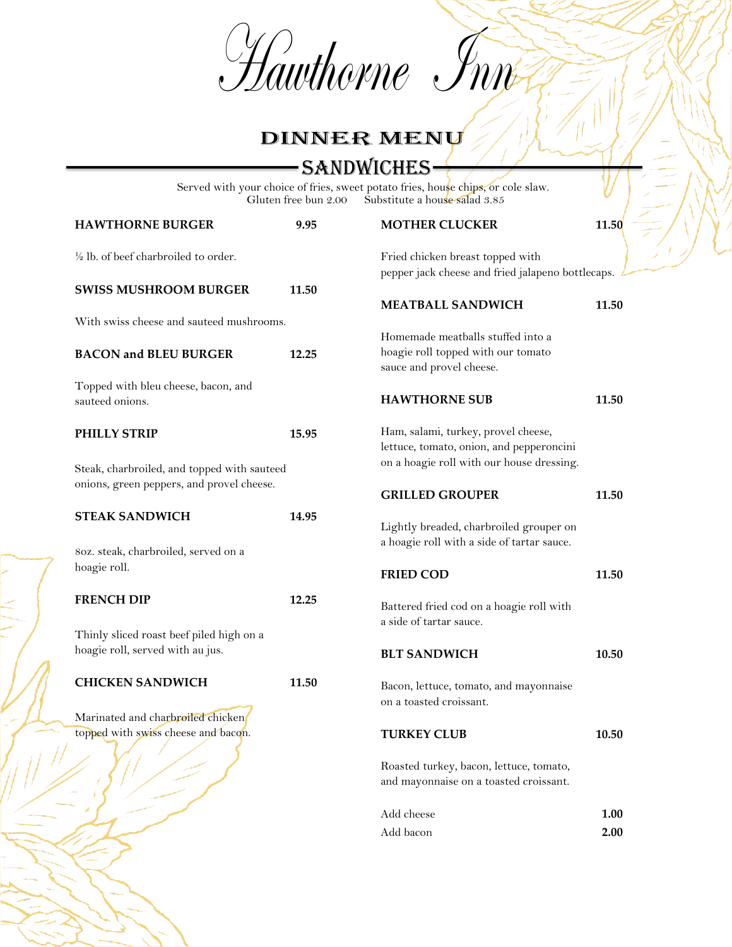Hawthorne Inner

# DINNER MENU

SANDWICHES

Served with your choice of fries, sweet potato fries, hou<mark>s</mark>e chips, or cole slaw. Gluten free bun 2.00 Substitute a house salad 3.85

| <b>HAWTHORNE BURGER</b>                                                  | 9.95  | <b>MOTHER CLUCKER</b>                                                                                                        | 11.50 |
|--------------------------------------------------------------------------|-------|------------------------------------------------------------------------------------------------------------------------------|-------|
| $\frac{1}{2}$ lb. of beef charbroiled to order.                          |       | Fried chicken breast topped with<br>pepper jack cheese and fried jalapeno bottlecaps.                                        |       |
| <b>SWISS MUSHROOM BURGER</b>                                             | 11.50 | <b>MEATBALL SANDWICH</b>                                                                                                     | 11.50 |
| With swiss cheese and sauteed mushrooms.                                 |       |                                                                                                                              |       |
| <b>BACON and BLEU BURGER</b>                                             | 12.25 | Homemade meatballs stuffed into a<br>hoagie roll topped with our tomato<br>sauce and provel cheese.                          |       |
| Topped with bleu cheese, bacon, and<br>sauteed onions.                   |       | <b>HAWTHORNE SUB</b>                                                                                                         | 11.50 |
| PHILLY STRIP<br>Steak, charbroiled, and topped with sauteed              | 15.95 | Ham, salami, turkey, provel cheese,<br>lettuce, tomato, onion, and pepperoncini<br>on a hoagie roll with our house dressing. |       |
| onions, green peppers, and provel cheese.                                |       | <b>GRILLED GROUPER</b>                                                                                                       | 11.50 |
| <b>STEAK SANDWICH</b>                                                    | 14.95 | Lightly breaded, charbroiled grouper on<br>a hoagie roll with a side of tartar sauce.                                        |       |
| 80z. steak, charbroiled, served on a<br>hoagie roll.                     |       | <b>FRIED COD</b>                                                                                                             | 11.50 |
| <b>FRENCH DIP</b>                                                        | 12.25 | Battered fried cod on a hoagie roll with<br>a side of tartar sauce.                                                          |       |
| Thinly sliced roast beef piled high on a                                 |       |                                                                                                                              |       |
| hoagie roll, served with au jus.                                         |       | <b>BLT SANDWICH</b>                                                                                                          | 10.50 |
| <b>CHICKEN SANDWICH</b>                                                  | 11.50 | Bacon, lettuce, tomato, and mayonnaise<br>on a toasted croissant.                                                            |       |
| Marinated and charbroiled chicken<br>topped with swiss cheese and bacon. |       | <b>TURKEY CLUB</b>                                                                                                           | 10.50 |
| $\sim$                                                                   |       | Roasted turkey, bacon, lettuce, tomato,<br>and mayonnaise on a toasted croissant.                                            |       |
|                                                                          |       | Add cheese                                                                                                                   | 1.00  |
|                                                                          |       | Add bacon                                                                                                                    | 2.00  |
|                                                                          |       |                                                                                                                              |       |